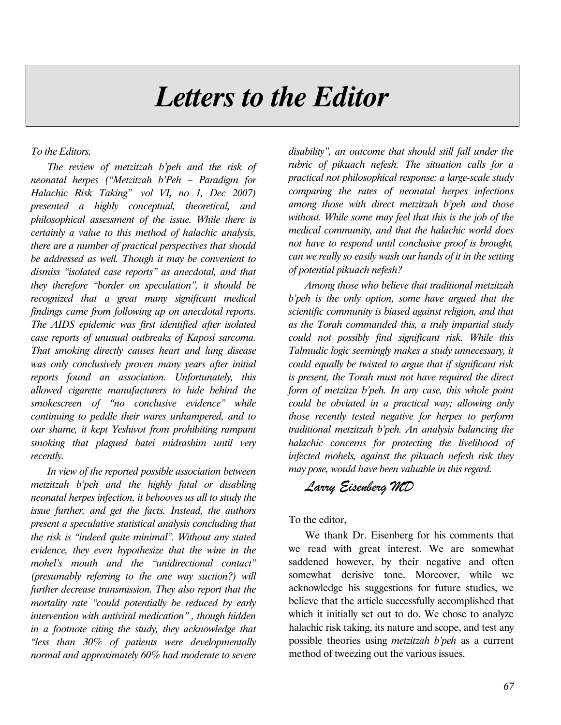## Letters to the Editor

To the Editors,

The review of metzitzah b'peh and the risk of neonatal herpes ("Metzitzah b'Peh – Paradigm for Halachic Risk Taking" vol VI, no 1, Dec 2007) presented a highly conceptual, theoretical, and philosophical assessment of the issue. While there is certainly a value to this method of halachic analysis, there are a number of practical perspectives that should be addressed as well. Though it may be convenient to dismiss "isolated case reports" as anecdotal, and that they therefore "border on speculation", it should be recognized that a great many significant medical findings came from following up on anecdotal reports. The AIDS epidemic was first identified after isolated case reports of unusual outbreaks of Kaposi sarcoma. That smoking directly causes heart and lung disease was only conclusively proven many years after initial reports found an association. Unfortunately, this allowed cigarette manufacturers to hide behind the smokescreen of "no conclusive evidence" while continuing to peddle their wares unhampered, and to our shame, it kept Yeshivot from prohibiting rampant smoking that plagued batei midrashim until very recently.

In view of the reported possible association between metzitzah b'peh and the highly fatal or disabling neonatal herpes infection, it behooves us all to study the issue further, and get the facts. Instead, the authors present a speculative statistical analysis concluding that the risk is "indeed quite minimal". Without any stated evidence, they even hypothesize that the wine in the mohel's mouth and the "unidirectional contact" (presumably referring to the one way suction?) will further decrease transmission. They also report that the mortality rate "could potentially be reduced by early intervention with antiviral medication" , though hidden in a footnote citing the study, they acknowledge that "less than 30% of patients were developmentally normal and approximately 60% had moderate to severe

disability", an outcome that should still fall under the rubric of pikuach nefesh. The situation calls for a practical not philosophical response; a large-scale study comparing the rates of neonatal herpes infections among those with direct metzitzah b'peh and those without. While some may feel that this is the job of the medical community, and that the halachic world does not have to respond until conclusive proof is brought, can we really so easily wash our hands of it in the setting of potential pikuach nefesh?

Among those who believe that traditional metzitzah b'peh is the only option, some have argued that the scientific community is biased against religion, and that as the Torah commanded this, a truly impartial study could not possibly find significant risk. While this Talmudic logic seemingly makes a study unnecessary, it could equally be twisted to argue that if significant risk is present, the Torah must not have required the direct form of metzitza b'peh. In any case, this whole point could be obviated in a practical way; allowing only those recently tested negative for herpes to perform traditional metzitzah b'peh. An analysis balancing the halachic concerns for protecting the livelihood of infected mohels, against the pikuach nefesh risk they may pose, would have been valuable in this regard.

## Larry Eisenberg MD

To the editor,

We thank Dr. Eisenberg for his comments that we read with great interest. We are somewhat saddened however, by their negative and often somewhat derisive tone. Moreover, while we acknowledge his suggestions for future studies, we believe that the article successfully accomplished that which it initially set out to do. We chose to analyze halachic risk taking, its nature and scope, and test any possible theories using metzitzah b'peh as a current method of tweezing out the various issues.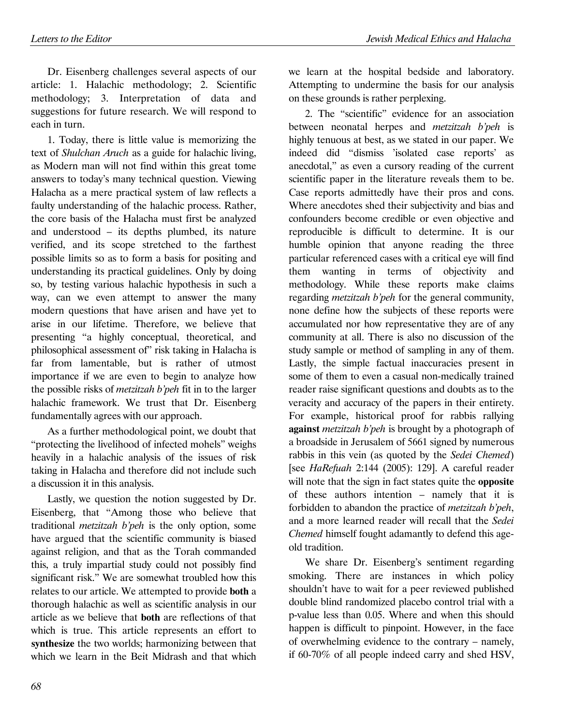Dr. Eisenberg challenges several aspects of our article: 1. Halachic methodology; 2. Scientific methodology; 3. Interpretation of data and suggestions for future research. We will respond to each in turn.

1. Today, there is little value is memorizing the text of Shulchan Aruch as a guide for halachic living, as Modern man will not find within this great tome answers to today's many technical question. Viewing Halacha as a mere practical system of law reflects a faulty understanding of the halachic process. Rather, the core basis of the Halacha must first be analyzed and understood – its depths plumbed, its nature verified, and its scope stretched to the farthest possible limits so as to form a basis for positing and understanding its practical guidelines. Only by doing so, by testing various halachic hypothesis in such a way, can we even attempt to answer the many modern questions that have arisen and have yet to arise in our lifetime. Therefore, we believe that presenting "a highly conceptual, theoretical, and philosophical assessment of" risk taking in Halacha is far from lamentable, but is rather of utmost importance if we are even to begin to analyze how the possible risks of metzitzah b'peh fit in to the larger halachic framework. We trust that Dr. Eisenberg fundamentally agrees with our approach.

As a further methodological point, we doubt that "protecting the livelihood of infected mohels" weighs heavily in a halachic analysis of the issues of risk taking in Halacha and therefore did not include such a discussion it in this analysis.

Lastly, we question the notion suggested by Dr. Eisenberg, that "Among those who believe that traditional metzitzah b'peh is the only option, some have argued that the scientific community is biased against religion, and that as the Torah commanded this, a truly impartial study could not possibly find significant risk." We are somewhat troubled how this relates to our article. We attempted to provide both a thorough halachic as well as scientific analysis in our article as we believe that both are reflections of that which is true. This article represents an effort to synthesize the two worlds; harmonizing between that which we learn in the Beit Midrash and that which

we learn at the hospital bedside and laboratory. Attempting to undermine the basis for our analysis on these grounds is rather perplexing.

2. The "scientific" evidence for an association between neonatal herpes and metzitzah b'peh is highly tenuous at best, as we stated in our paper. We indeed did "dismiss 'isolated case reports' as anecdotal," as even a cursory reading of the current scientific paper in the literature reveals them to be. Case reports admittedly have their pros and cons. Where anecdotes shed their subjectivity and bias and confounders become credible or even objective and reproducible is difficult to determine. It is our humble opinion that anyone reading the three particular referenced cases with a critical eye will find them wanting in terms of objectivity and methodology. While these reports make claims regarding metzitzah b'peh for the general community, none define how the subjects of these reports were accumulated nor how representative they are of any community at all. There is also no discussion of the study sample or method of sampling in any of them. Lastly, the simple factual inaccuracies present in some of them to even a casual non-medically trained reader raise significant questions and doubts as to the veracity and accuracy of the papers in their entirety. For example, historical proof for rabbis rallying against *metzitzah b'peh* is brought by a photograph of a broadside in Jerusalem of 5661 signed by numerous rabbis in this vein (as quoted by the Sedei Chemed) [see HaRefuah 2:144 (2005): 129]. A careful reader will note that the sign in fact states quite the **opposite** of these authors intention – namely that it is forbidden to abandon the practice of metzitzah b'peh, and a more learned reader will recall that the Sedei Chemed himself fought adamantly to defend this ageold tradition.

We share Dr. Eisenberg's sentiment regarding smoking. There are instances in which policy shouldn't have to wait for a peer reviewed published double blind randomized placebo control trial with a p-value less than 0.05. Where and when this should happen is difficult to pinpoint. However, in the face of overwhelming evidence to the contrary – namely, if 60-70% of all people indeed carry and shed HSV,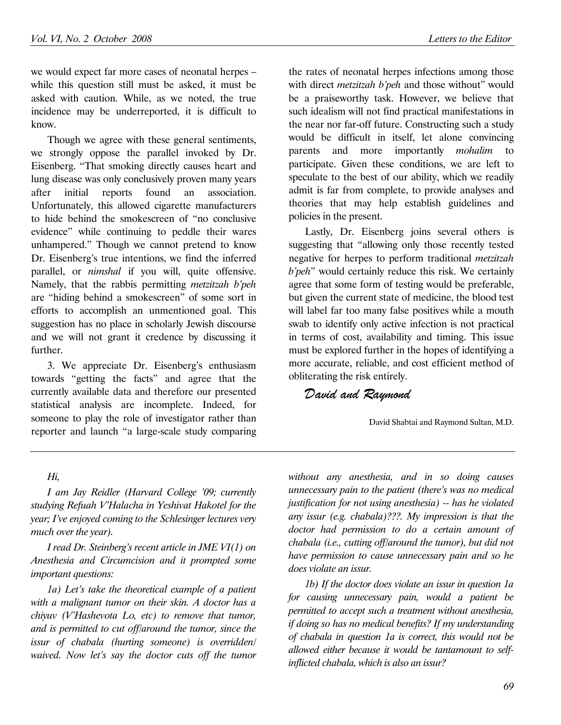we would expect far more cases of neonatal herpes – while this question still must be asked, it must be asked with caution. While, as we noted, the true incidence may be underreported, it is difficult to know.

Though we agree with these general sentiments, we strongly oppose the parallel invoked by Dr. Eisenberg. "That smoking directly causes heart and lung disease was only conclusively proven many years after initial reports found an association. Unfortunately, this allowed cigarette manufacturers to hide behind the smokescreen of "no conclusive evidence" while continuing to peddle their wares unhampered." Though we cannot pretend to know Dr. Eisenberg's true intentions, we find the inferred parallel, or nimshal if you will, quite offensive. Namely, that the rabbis permitting metzitzah b'peh are "hiding behind a smokescreen" of some sort in efforts to accomplish an unmentioned goal. This suggestion has no place in scholarly Jewish discourse and we will not grant it credence by discussing it further.

3. We appreciate Dr. Eisenberg's enthusiasm towards "getting the facts" and agree that the currently available data and therefore our presented statistical analysis are incomplete. Indeed, for someone to play the role of investigator rather than reporter and launch "a large-scale study comparing the rates of neonatal herpes infections among those with direct *metzitzah b'peh* and those without" would be a praiseworthy task. However, we believe that such idealism will not find practical manifestations in the near nor far-off future. Constructing such a study would be difficult in itself, let alone convincing parents and more importantly mohalim to participate. Given these conditions, we are left to speculate to the best of our ability, which we readily admit is far from complete, to provide analyses and theories that may help establish guidelines and policies in the present.

Lastly, Dr. Eisenberg joins several others is suggesting that "allowing only those recently tested negative for herpes to perform traditional metzitzah b'peh" would certainly reduce this risk. We certainly agree that some form of testing would be preferable, but given the current state of medicine, the blood test will label far too many false positives while a mouth swab to identify only active infection is not practical in terms of cost, availability and timing. This issue must be explored further in the hopes of identifying a more accurate, reliable, and cost efficient method of obliterating the risk entirely.

David and Raymond

David Shabtai and Raymond Sultan, M.D.

## Hi,

I am Jay Reidler (Harvard College '09; currently studying Refuah V'Halacha in Yeshivat Hakotel for the year; I've enjoyed coming to the Schlesinger lectures very much over the year).

I read Dr. Steinberg's recent article in JME VI(1) on Anesthesia and Circumcision and it prompted some important questions:

1a) Let's take the theoretical example of a patient with a malignant tumor on their skin. A doctor has a chiyuv (V'Hashevota Lo, etc) to remove that tumor, and is permitted to cut off/around the tumor, since the issur of chabala (hurting someone) is overridden/ waived. Now let's say the doctor cuts off the tumor

without any anesthesia, and in so doing causes unnecessary pain to the patient (there's was no medical justification for not using anesthesia) -- has he violated any issur (e.g. chabala)???. My impression is that the doctor had permission to do a certain amount of chabala (i.e., cutting off/around the tumor), but did not have permission to cause unnecessary pain and so he does violate an issur.

1b) If the doctor does violate an issur in question 1a for causing unnecessary pain, would a patient be permitted to accept such a treatment without anesthesia, if doing so has no medical benefits? If my understanding of chabala in question 1a is correct, this would not be allowed either because it would be tantamount to selfinflicted chabala, which is also an issur?